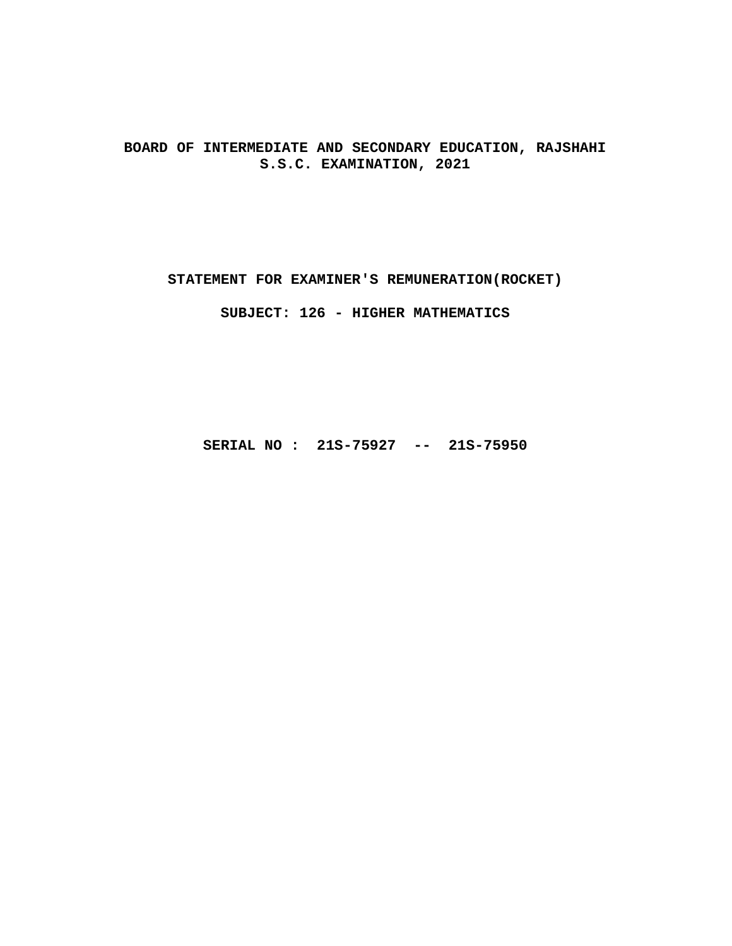**BOARD OF INTERMEDIATE AND SECONDARY EDUCATION, RAJSHAHI S.S.C. EXAMINATION, 2021**

**STATEMENT FOR EXAMINER'S REMUNERATION(ROCKET)**

**SUBJECT: 126 - HIGHER MATHEMATICS**

**SERIAL NO : 21S-75927 -- 21S-75950**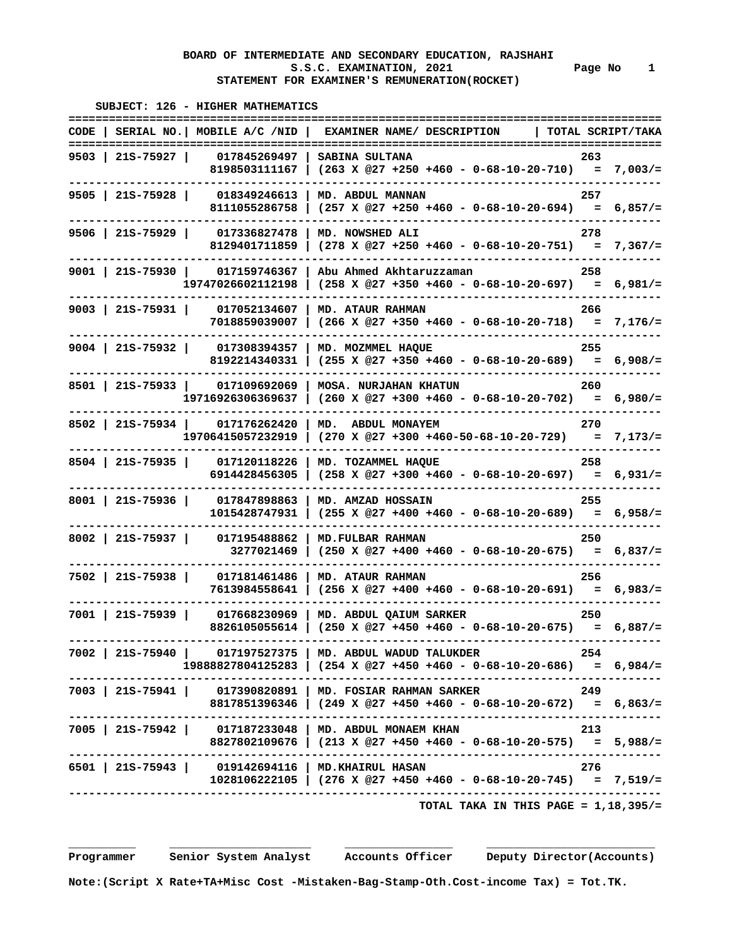|                                                     | SUBJECT: 126 - HIGHER MATHEMATICS<br>============ |                                                                                                                                                   |       |                   |
|-----------------------------------------------------|---------------------------------------------------|---------------------------------------------------------------------------------------------------------------------------------------------------|-------|-------------------|
| CODE I                                              | SERIAL NO.   MOBILE A/C /NID                      | EXAMINER NAME/ DESCRIPTION                                                                                                                        |       | TOTAL SCRIPT/TAKA |
| 9503   21S-75927                                    | 017845269497<br>8198503111167                     | ============================<br>SABINA SULTANA<br>$(263 \times @27 +250 +460 - 0-68-10-20-710) = 7,003/=$                                         | 263   |                   |
| $9505$   21S-75928                                  | 018349246613<br>8111055286758                     | MD. ABDUL MANNAN<br>$(257 \t X \t @27 +250 +460 - 0-68-10-20-694) = 6,857/=$                                                                      | 257   |                   |
| $9506$   21S-75929                                  | 017336827478<br>8129401711859                     | MD. NOWSHED ALI<br>$(278 \t X \t 27 + 250 + 460 - 0 - 68 - 10 - 20 - 751) = 7,367/=$                                                              | 278   |                   |
| 9001   21s-75930   017159746367                     | 19747026602112198                                 | Abu Ahmed Akhtaruzzaman<br>$(258 \t X \t @27 +350 +460 - 0-68-10-20-697) = 6,981/=$                                                               | 258   |                   |
| $9003$   21S-75931                                  | 017052134607<br>7018859039007                     | MD. ATAUR RAHMAN<br>$(266 \times @27 +350 +460 - 0-68-10-20-718) = 7,176/=$                                                                       | 266   |                   |
| $9004$   215-75932                                  | 017308394357<br>8192214340331                     | MD. MOZMMEL HAQUE<br>$(255 \t X \t @27 +350 +460 - 0-68-10-20-689) = 6,908/=$                                                                     | 255   |                   |
| 8501   21s-75933   017109692069                     | 19716926306369637                                 | <b>MOSA. NURJAHAN KHATUN</b><br>$(260 \times @27 +300 +460 - 0-68-10-20-702) = 6,980/=$                                                           | 260   |                   |
| 8502   21S-75934   017176262420                     | 19706415057232919                                 | MD. ABDUL MONAYEM<br>$(270 \text{ X } @27 +300 +460-50-68-10-20-729) = 7,173/=$                                                                   | 270   |                   |
| $8504$   21S-75935                                  | 017120118226<br>6914428456305                     | MD. TOZAMMEL HAQUE<br>$(258 \t X \t @27 +300 +460 - 0-68-10-20-697) = 6,931/=$                                                                    | 258   |                   |
| $8001$   21S-75936                                  | 017847898863<br>1015428747931                     | MD. AMZAD HOSSAIN<br>$(255 \t X \t @27 +400 +460 - 0-68-10-20-689) = 6,958/=$                                                                     | 255   |                   |
| 8002   215-75937                                    | 017195488862<br>3277021469                        | MD. FULBAR RAHMAN<br>$(250 \t X \t 27 + 400 + 460 - 0 - 68 - 10 - 20 - 675) = 6,837/=$                                                            | 250   |                   |
| 7502   21S-75938                                    | 017181461486<br>7613984558641                     | MD. ATAUR RAHMAN<br>$(256 \times @27 +400 +460 - 0-68-10-20-691) = 6,983/=$                                                                       | 256   |                   |
| 7001   21S-75939                                    | 017668230969<br>8826105055614                     | MD. ABDUL QAIUM SARKER<br>$(250 \t X \t 27 + 450 + 460 - 0 - 68 - 10 - 20 - 675) = 6,887/=$                                                       | 250   |                   |
|                                                     |                                                   | 7002   21S-75940   017197527375   MD. ABDUL WADUD TALUKDER<br>254<br>$19888827804125283$   $(254 \t{X} @27 +450 +460 - 0-68-10-20-686) = 6,984/-$ |       |                   |
|                                                     |                                                   | 7003   21S-75941   017390820891   MD. FOSIAR RAHMAN SARKER<br>8817851396346   (249 X @27 +450 +460 - 0-68-10-20-672) = 6,863/=                    | - 249 |                   |
|                                                     |                                                   | 7005   21S-75942   017187233048   MD. ABDUL MONAEM KHAN<br>8827802109676   (213 X @27 +450 +460 - 0-68-10-20-575) = $5,988/=$                     | 213   |                   |
| 6501   21S-75943   019142694116   MD. KHAIRUL HASAN |                                                   | -----------------------------<br>$1028106222105$   (276 X @27 +450 +460 - 0-68-10-20-745) = 7,519/=                                               | 276   |                   |
|                                                     |                                                   | ----------------------------<br>TOTAL TAKA IN THIS PAGE = $1,18,395/$ =                                                                           |       |                   |

 **Programmer Senior System Analyst Accounts Officer Deputy Director(Accounts)** 

 **Note:(Script X Rate+TA+Misc Cost -Mistaken-Bag-Stamp-Oth.Cost-income Tax) = Tot.TK.**

 **\_\_\_\_\_\_\_\_\_\_ \_\_\_\_\_\_\_\_\_\_\_\_\_\_\_\_\_\_\_\_\_ \_\_\_\_\_\_\_\_\_\_\_\_\_\_\_\_ \_\_\_\_\_\_\_\_\_\_\_\_\_\_\_\_\_\_\_\_\_\_\_\_\_**